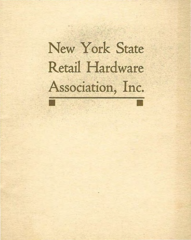# New York State Retail Hardware Association, Inc.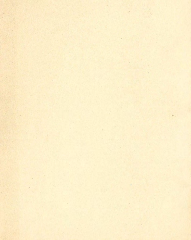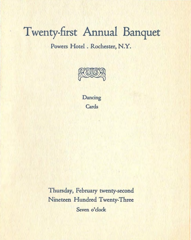# **Twenty-first Annual Banquet**

#### Powers Hotel . Rochester, N.Y.



Dancing **Cards** 

Thursday, February twenty-second Nineteen Hundred Twenty-Three Seven o'clock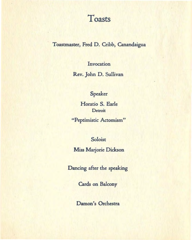## **Toasts**

Toastmaster, Fred D. Cribb, Canandaigua

Invocation

Rev. John D. Sullivan

#### Speaker

Horatio S. Earle **D**etroit

"Peptimistic Actomism"

#### Soloist

Miss Marjorie Dickson

Dancing after the speaking

Cards on Balcony

Damon's Orchestra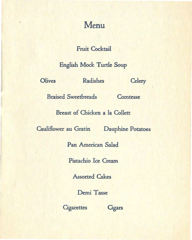### **Menu**

#### Fruit Cocktail

English Mock Turtle Soup

**Olives** 

Radishes Celery

Braised Sweetbreads Comtesse

Breast of Chicken a la Collett

Cauliflower au Gratin Dauphine Potatoes

Pan American Salad

Pistachio Ice Cream

Assorted Cakes

Demi Tasse

Cigarettes Cigars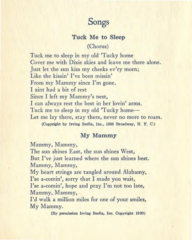# **Songs**

#### **Tuck Me to Sleep**

(Chorus)

Tuck me to sleep in my old 'Tucky home Cover me with Dixie skies and leave me there alone. Just let the sun kiss my cheeks ev'ry morn; Like the kissin' I've been missin' From my Mammy since I'm gone. I aint had a bit of rest Since I left my Mammy's nest, I can always rest the best in her Iovin' arms. Tuck me to sleep in my old 'Tucky home-Let me lay there, stay there, never no more to roam. (Copyright by Irving Berlin, Inc., 1586 Broadway, N. Y. C.)

#### **My Mammy**

Mammy, Mammy, The sun shines East, the sun shines West, But I've just learned where the sun shines best. Mammy, Mammy, My heart strings are tangled around Alabamy, l'se a-comin', sorry that I made you wait, I'se a-comin', hope and pray I'm not too late, Mammy, Mammy, . I'd walk a million miles for one of your smiles,

My Mammy.

(By permission Irving Berlin, Inc. Copyright 1920)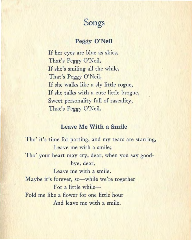

#### **Peggy O'Neil**

If her eyes are blue as skies, That's Peggy O'Neil, If she's smiling all the while, That's Peggy O'Neil, If she walks like a sly little rogue, If she talks with a cute little brogue, Sweet personality full of rascality, That's Peggy O'Neil.

#### **Leave Me With a Smile**

Tho' it's time for parting, and my tears are starting, Leave me with a smile; Tho' your heart may cry, dear, when you say goodbye, dear, Leave me with a smile. Maybe it's forever, so—while we're together For a little while-Fold me like a flower for one little hour And leave me with a smile.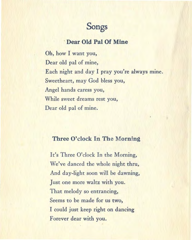Songs

#### · Dear Old Pal Of Mine

Oh, how I want you, Dear old pal of mine, Each night and day I pray you're always mine. Sweetheart, may God bless you, Angel hands caress you, While sweet dreams rest you, Dear old pal of mine.

#### Three O'clock In The Morning

It's Three O'clock In the Morning, We've danced the whole night thru, And day-light soon will be dawning, Just one more waltz with you. That melody so entrancing, Seems to be made for us two, I could just keep right on dancing Forever dear with you.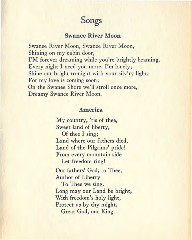**Songs** 

#### **Swanee River Moon**

Swanee River Moon, Swanee River Moon, Shining on my cabin door, I'M forever dreaming while you're brightly beaming, Every night I need you more, I'm lonely; Shine out bright to-night with your silv'ry light, For my love is coming soon; On the Swanee Shore we'll stroll once more, Dreamy Swanee River Moon.

#### **America**

My country, 'tis of thee, Sweet land of liberty, Of thee I sing; Land where our fathers died, Land of the Pilgrims' pride! From every mountain side Let freedom ring! Our fathers' God, to Thee, Author of Liberty To Thee we sing. Long may our Land be bright, With freedom's holy light, Protect us by thy might, Great God, our King.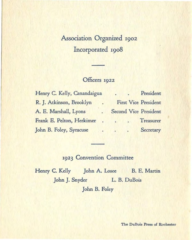Association Organized 1902 Incorporated 1908

#### Officers 1922

Henry C. Kelly, Canandaigua (Canandaigua de la President R. J. Atkinson, Brooklyn First Vice President A. E. Marshall, Lyons Second Vice President Frank E. Pelton, Herkimer . . . Treasurer John B. Foley, Syracuse . . . . Secretary

#### 1923 Convention Committee

Henry C. Kelly John A. Losee B. E. Martin John J. Snyder L. B. DuBois John B. Foley

The DuBois Press of Rochester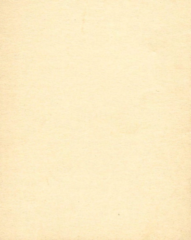